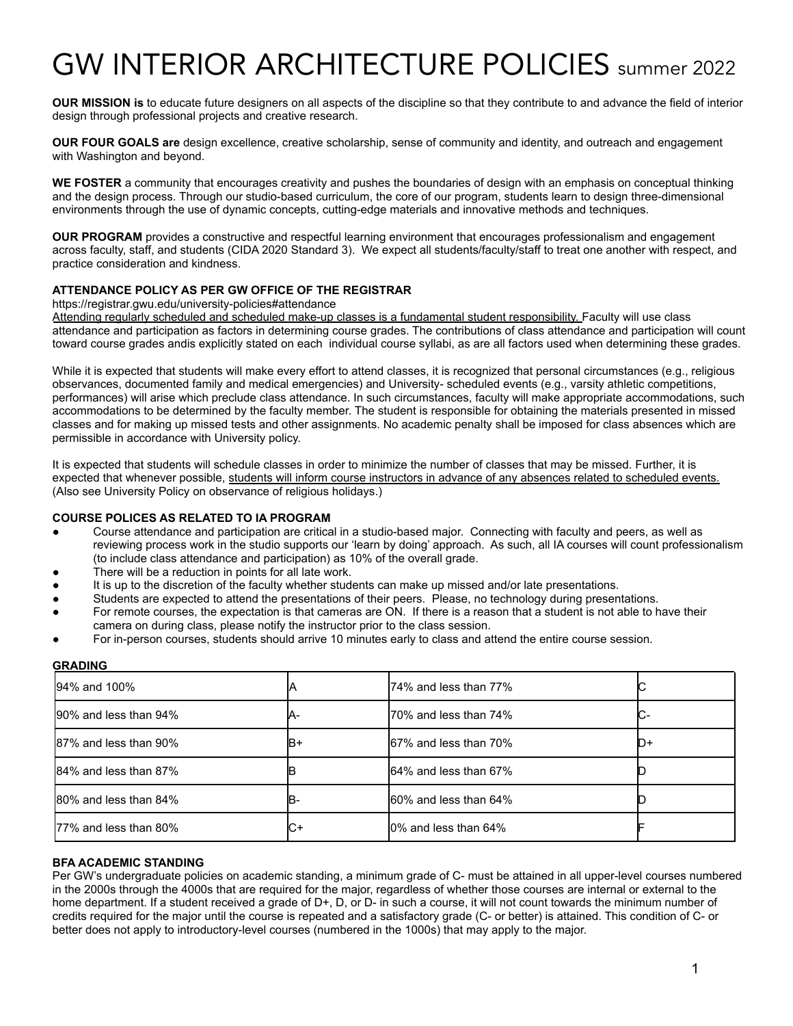# GW INTERIOR ARCHITECTURE POLICIES summer <sup>2022</sup>

**OUR MISSION is** to educate future designers on all aspects of the discipline so that they contribute to and advance the field of interior design through professional projects and creative research.

**OUR FOUR GOALS are** design excellence, creative scholarship, sense of community and identity, and outreach and engagement with Washington and beyond.

**WE FOSTER** a community that encourages creativity and pushes the boundaries of design with an emphasis on conceptual thinking and the design process. Through our studio-based curriculum, the core of our program, students learn to design three-dimensional environments through the use of dynamic concepts, cutting-edge materials and innovative methods and techniques.

**OUR PROGRAM** provides a constructive and respectful learning environment that encourages professionalism and engagement across faculty, staff, and students (CIDA 2020 Standard 3). We expect all students/faculty/staff to treat one another with respect, and practice consideration and kindness.

# **ATTENDANCE POLICY AS PER GW OFFICE OF THE REGISTRAR**

https://registrar.gwu.edu/university-policies#attendance

Attending regularly scheduled and scheduled make-up classes is a fundamental student responsibility. Faculty will use class attendance and participation as factors in determining course grades. The contributions of class attendance and participation will count toward course grades andis explicitly stated on each individual course syllabi, as are all factors used when determining these grades.

While it is expected that students will make every effort to attend classes, it is recognized that personal circumstances (e.g., religious observances, documented family and medical emergencies) and University- scheduled events (e.g., varsity athletic competitions, performances) will arise which preclude class attendance. In such circumstances, faculty will make appropriate accommodations, such accommodations to be determined by the faculty member. The student is responsible for obtaining the materials presented in missed classes and for making up missed tests and other assignments. No academic penalty shall be imposed for class absences which are permissible in accordance with University policy.

It is expected that students will schedule classes in order to minimize the number of classes that may be missed. Further, it is expected that whenever possible, students will inform course instructors in advance of any absences related to scheduled events. (Also see University Policy on observance of religious holidays.)

# **COURSE POLICES AS RELATED TO IA PROGRAM**

- Course attendance and participation are critical in a studio-based major. Connecting with faculty and peers, as well as reviewing process work in the studio supports our 'learn by doing' approach. As such, all IA courses will count professionalism (to include class attendance and participation) as 10% of the overall grade.
- There will be a reduction in points for all late work.
- It is up to the discretion of the faculty whether students can make up missed and/or late presentations.
- Students are expected to attend the presentations of their peers. Please, no technology during presentations.
- For remote courses, the expectation is that cameras are ON. If there is a reason that a student is not able to have their camera on during class, please notify the instructor prior to the class session.
- For in-person courses, students should arrive 10 minutes early to class and attend the entire course session.

#### **GRADING**

| 94% and 100%           |     | 74% and less than 77%  |       |
|------------------------|-----|------------------------|-------|
| 190% and less than 94% | Κ۰  | I70% and less than 74% | IC-   |
| 87% and less than 90%  | IB+ | 167% and less than 70% | II )+ |
| 84% and less than 87%  |     | 164% and less than 67% |       |
| 80% and less than 84%  | IB- | 160% and less than 64% |       |
| 177% and less than 80% | C+  | 10% and less than 64%  |       |

#### **BFA ACADEMIC STANDING**

Per GW's undergraduate policies on academic standing, a minimum grade of C- must be attained in all upper-level courses numbered in the 2000s through the 4000s that are required for the major, regardless of whether those courses are internal or external to the home department. If a student received a grade of D+, D, or D- in such a course, it will not count towards the minimum number of credits required for the major until the course is repeated and a satisfactory grade (C- or better) is attained. This condition of C- or better does not apply to introductory-level courses (numbered in the 1000s) that may apply to the major.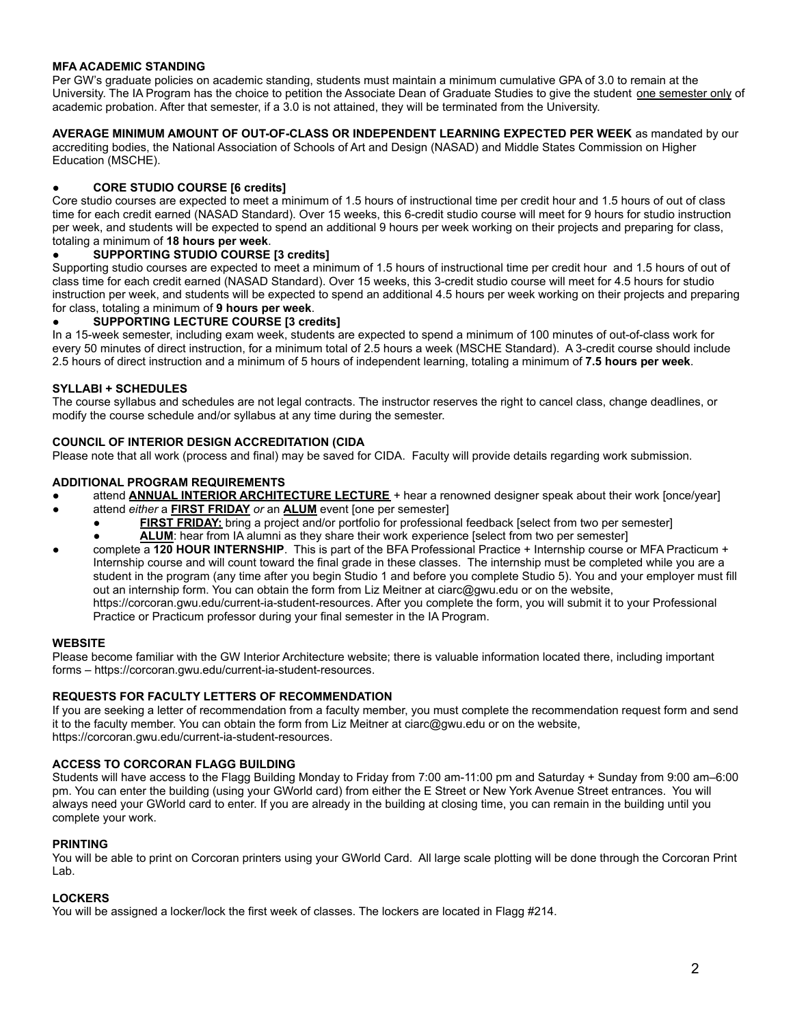# **MFA ACADEMIC STANDING**

Per GW's graduate policies on academic standing, students must maintain a minimum cumulative GPA of 3.0 to remain at the University. The IA Program has the choice to petition the Associate Dean of Graduate Studies to give the student one semester only of academic probation. After that semester, if a 3.0 is not attained, they will be terminated from the University.

**AVERAGE MINIMUM AMOUNT OF OUT-OF-CLASS OR INDEPENDENT LEARNING EXPECTED PER WEEK** as mandated by our accrediting bodies, the National Association of Schools of Art and Design (NASAD) and Middle States Commission on Higher Education (MSCHE).

# **● CORE STUDIO COURSE [6 credits]**

Core studio courses are expected to meet a minimum of 1.5 hours of instructional time per credit hour and 1.5 hours of out of class time for each credit earned (NASAD Standard). Over 15 weeks, this 6-credit studio course will meet for 9 hours for studio instruction per week, and students will be expected to spend an additional 9 hours per week working on their projects and preparing for class, totaling a minimum of **18 hours per week**.

#### **● SUPPORTING STUDIO COURSE [3 credits]**

Supporting studio courses are expected to meet a minimum of 1.5 hours of instructional time per credit hour and 1.5 hours of out of class time for each credit earned (NASAD Standard). Over 15 weeks, this 3-credit studio course will meet for 4.5 hours for studio instruction per week, and students will be expected to spend an additional 4.5 hours per week working on their projects and preparing for class, totaling a minimum of **9 hours per week**.

#### **● SUPPORTING LECTURE COURSE [3 credits]**

In a 15-week semester, including exam week, students are expected to spend a minimum of 100 minutes of out-of-class work for every 50 minutes of direct instruction, for a minimum total of 2.5 hours a week (MSCHE Standard). A 3-credit course should include 2.5 hours of direct instruction and a minimum of 5 hours of independent learning, totaling a minimum of **7.5 hours per week**.

# **SYLLABI + SCHEDULES**

The course syllabus and schedules are not legal contracts. The instructor reserves the right to cancel class, change deadlines, or modify the course schedule and/or syllabus at any time during the semester.

# **COUNCIL OF INTERIOR DESIGN ACCREDITATION (CIDA**

Please note that all work (process and final) may be saved for CIDA. Faculty will provide details regarding work submission.

# **ADDITIONAL PROGRAM REQUIREMENTS**

- attend **ANNUAL INTERIOR ARCHITECTURE LECTURE** + hear a renowned designer speak about their work [once/year]
	- attend *either* a **FIRST FRIDAY** *or* an **ALUM** event [one per semester]
		- **FIRST FRIDAY:** bring a project and/or portfolio for professional feedback [select from two per semester] **• ALUM:** hear from IA alumni as they share their work experience [select from two per semester]
- complete a 120 HOUR INTERNSHIP. This is part of the BFA Professional Practice + Internship course or MFA Practicum + Internship course and will count toward the final grade in these classes. The internship must be completed while you are a student in the program (any time after you begin Studio 1 and before you complete Studio 5). You and your employer must fill out an internship form. You can obtain the form from Liz Meitner at ciarc@gwu.edu or on the website, https://corcoran.gwu.edu/current-ia-student-resources. After you complete the form, you will submit it to your Professional Practice or Practicum professor during your final semester in the IA Program.

#### **WEBSITE**

Please become familiar with the GW Interior Architecture website; there is valuable information located there, including important forms – https://corcoran.gwu.edu/current-ia-student-resources.

#### **REQUESTS FOR FACULTY LETTERS OF RECOMMENDATION**

If you are seeking a letter of recommendation from a faculty member, you must complete the recommendation request form and send it to the faculty member. You can obtain the form from Liz Meitner at ciarc@gwu.edu or on the website, https://corcoran.gwu.edu/current-ia-student-resources.

#### **ACCESS TO CORCORAN FLAGG BUILDING**

Students will have access to the Flagg Building Monday to Friday from 7:00 am-11:00 pm and Saturday + Sunday from 9:00 am–6:00 pm. You can enter the building (using your GWorld card) from either the E Street or New York Avenue Street entrances. You will always need your GWorld card to enter. If you are already in the building at closing time, you can remain in the building until you complete your work.

#### **PRINTING**

You will be able to print on Corcoran printers using your GWorld Card. All large scale plotting will be done through the Corcoran Print Lab.

#### **LOCKERS**

You will be assigned a locker/lock the first week of classes. The lockers are located in Flagg #214.